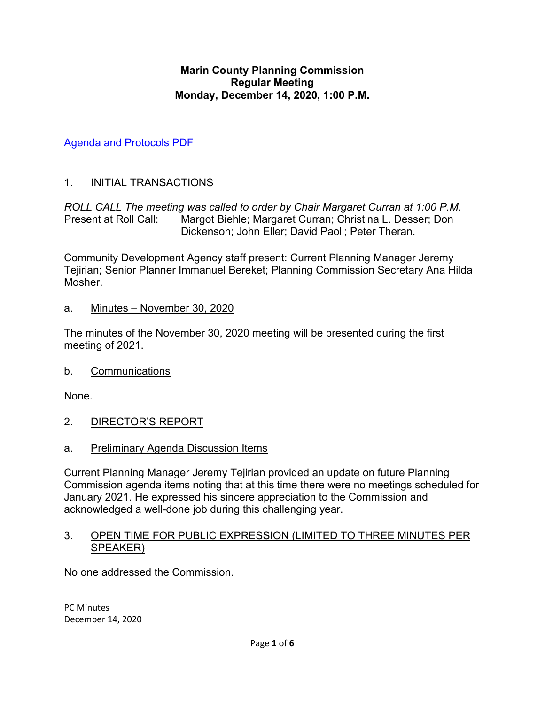#### **Marin County Planning Commission Regular Meeting Monday, December 14, 2020, 1:00 P.M.**

[Agenda and Protocols PDF](https://marin.granicus.com/MetaViewer.php?view_id=&clip_id=10432&meta_id=1097648)

## 1. INITIAL TRANSACTIONS

*ROLL CALL The meeting was called to order by Chair Margaret Curran at 1:00 P.M.* Present at Roll Call: Margot Biehle; Margaret Curran; Christina L. Desser; Don Dickenson; John Eller; David Paoli; Peter Theran.

Community Development Agency staff present: Current Planning Manager Jeremy Tejirian; Senior Planner Immanuel Bereket; Planning Commission Secretary Ana Hilda **Mosher** 

### a. Minutes – November 30, 2020

The minutes of the November 30, 2020 meeting will be presented during the first meeting of 2021.

#### b. Communications

None.

- 2. DIRECTOR'S REPORT
- a. Preliminary Agenda Discussion Items

Current Planning Manager Jeremy Tejirian provided an update on future Planning Commission agenda items noting that at this time there were no meetings scheduled for January 2021. He expressed his sincere appreciation to the Commission and acknowledged a well-done job during this challenging year.

#### 3. OPEN TIME FOR PUBLIC EXPRESSION (LIMITED TO THREE MINUTES PER SPEAKER)

No one addressed the Commission.

PC Minutes December 14, 2020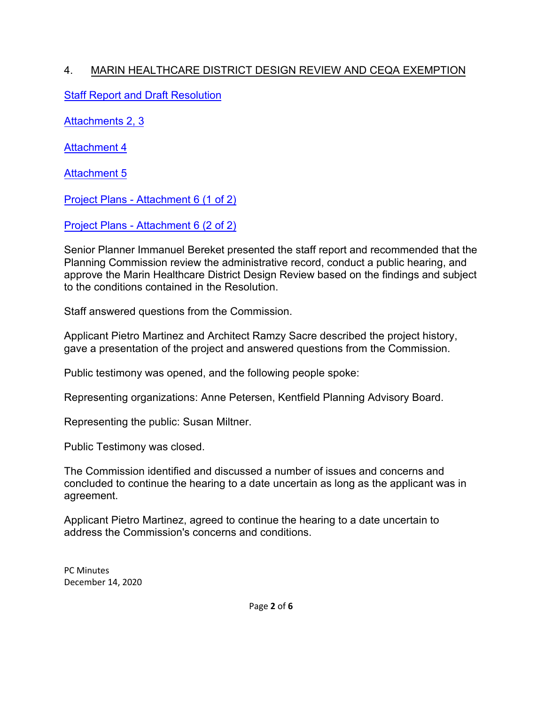# 4. MARIN HEALTHCARE DISTRICT DESIGN REVIEW AND CEQA EXEMPTION

[Staff Report and Draft](https://marin.granicus.com/MetaViewer.php?view_id=&clip_id=10432&meta_id=1097656) Resolution

[Attachments 2, 3](https://marin.granicus.com/MetaViewer.php?view_id=&clip_id=10432&meta_id=1097657)

[Attachment 4](https://marin.granicus.com/MetaViewer.php?view_id=&clip_id=10432&meta_id=1097658)

[Attachment 5](https://marin.granicus.com/MetaViewer.php?view_id=&clip_id=10432&meta_id=1097659)

Project Plans [- Attachment 6 \(1 of 2\)](https://marin.granicus.com/MetaViewer.php?view_id=&clip_id=10432&meta_id=1097660)

Project Plans [- Attachment 6 \(2 of 2\)](https://marin.granicus.com/MetaViewer.php?view_id=&clip_id=10432&meta_id=1097661)

Senior Planner Immanuel Bereket presented the staff report and recommended that the Planning Commission review the administrative record, conduct a public hearing, and approve the Marin Healthcare District Design Review based on the findings and subject to the conditions contained in the Resolution.

Staff answered questions from the Commission.

Applicant Pietro Martinez and Architect Ramzy Sacre described the project history, gave a presentation of the project and answered questions from the Commission.

Public testimony was opened, and the following people spoke:

Representing organizations: Anne Petersen, Kentfield Planning Advisory Board.

Representing the public: Susan Miltner.

Public Testimony was closed.

The Commission identified and discussed a number of issues and concerns and concluded to continue the hearing to a date uncertain as long as the applicant was in agreement.

Applicant Pietro Martinez, agreed to continue the hearing to a date uncertain to address the Commission's concerns and conditions.

PC Minutes December 14, 2020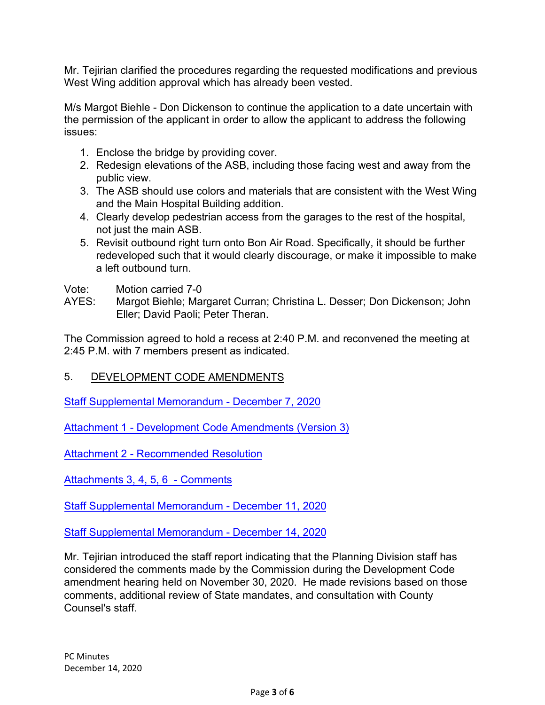Mr. Tejirian clarified the procedures regarding the requested modifications and previous West Wing addition approval which has already been vested.

M/s Margot Biehle - Don Dickenson to continue the application to a date uncertain with the permission of the applicant in order to allow the applicant to address the following issues:

- 1. Enclose the bridge by providing cover.
- 2. Redesign elevations of the ASB, including those facing west and away from the public view.
- 3. The ASB should use colors and materials that are consistent with the West Wing and the Main Hospital Building addition.
- 4. Clearly develop pedestrian access from the garages to the rest of the hospital, not just the main ASB.
- 5. Revisit outbound right turn onto Bon Air Road. Specifically, it should be further redeveloped such that it would clearly discourage, or make it impossible to make a left outbound turn.
- Vote: Motion carried 7-0
- AYES: Margot Biehle; Margaret Curran; Christina L. Desser; Don Dickenson; John Eller; David Paoli; Peter Theran.

The Commission agreed to hold a recess at 2:40 P.M. and reconvened the meeting at 2:45 P.M. with 7 members present as indicated.

## 5. DEVELOPMENT CODE AMENDMENTS

[Staff Supplemental Memorandum](https://marin.granicus.com/MetaViewer.php?view_id=&clip_id=10432&meta_id=1097663) - December 7, 2020

Attachment [1 - Development Code Amendments \(Version 3\)](https://marin.granicus.com/MetaViewer.php?view_id=&clip_id=10432&meta_id=1097664)

Attachment 2 [- Recommended Resolution](https://marin.granicus.com/MetaViewer.php?view_id=&clip_id=10432&meta_id=1097665)

[Attachments 3, 4, 5, 6 - Comments](https://marin.granicus.com/MetaViewer.php?view_id=&clip_id=10432&meta_id=1097666)

[Staff Supplemental Memorandum](https://marin.granicus.com/MetaViewer.php?view_id=&clip_id=10432&meta_id=1097667) - December 11, 2020

[Staff Supplemental Memorandum](https://marin.granicus.com/MetaViewer.php?view_id=&clip_id=10432&meta_id=1097668) - December 14, 2020

Mr. Tejirian introduced the staff report indicating that the Planning Division staff has considered the comments made by the Commission during the Development Code amendment hearing held on November 30, 2020. He made revisions based on those comments, additional review of State mandates, and consultation with County Counsel's staff.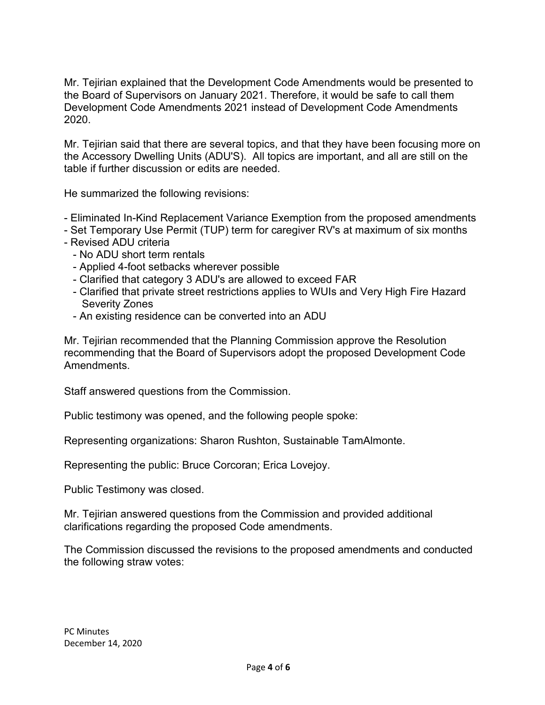Mr. Tejirian explained that the Development Code Amendments would be presented to the Board of Supervisors on January 2021. Therefore, it would be safe to call them Development Code Amendments 2021 instead of Development Code Amendments 2020.

Mr. Tejirian said that there are several topics, and that they have been focusing more on the Accessory Dwelling Units (ADU'S). All topics are important, and all are still on the table if further discussion or edits are needed.

He summarized the following revisions:

- Eliminated In-Kind Replacement Variance Exemption from the proposed amendments
- Set Temporary Use Permit (TUP) term for caregiver RV's at maximum of six months
- Revised ADU criteria
	- No ADU short term rentals
	- Applied 4-foot setbacks wherever possible
	- Clarified that category 3 ADU's are allowed to exceed FAR
	- Clarified that private street restrictions applies to WUIs and Very High Fire Hazard Severity Zones
	- An existing residence can be converted into an ADU

Mr. Tejirian recommended that the Planning Commission approve the Resolution recommending that the Board of Supervisors adopt the proposed Development Code Amendments.

Staff answered questions from the Commission.

Public testimony was opened, and the following people spoke:

Representing organizations: Sharon Rushton, Sustainable TamAlmonte.

Representing the public: Bruce Corcoran; Erica Lovejoy.

Public Testimony was closed.

Mr. Tejirian answered questions from the Commission and provided additional clarifications regarding the proposed Code amendments.

The Commission discussed the revisions to the proposed amendments and conducted the following straw votes: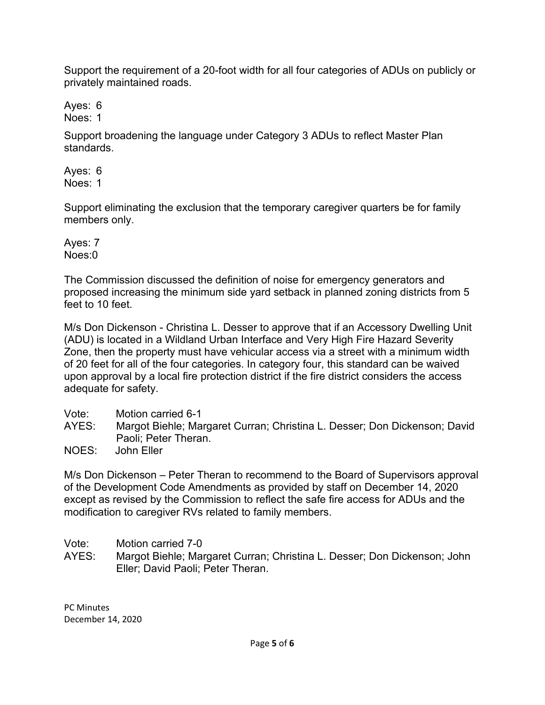Support the requirement of a 20-foot width for all four categories of ADUs on publicly or privately maintained roads.

Ayes: 6 Noes: 1

Support broadening the language under Category 3 ADUs to reflect Master Plan standards.

Ayes: 6 Noes: 1

Support eliminating the exclusion that the temporary caregiver quarters be for family members only.

Ayes: 7 Noes:0

The Commission discussed the definition of noise for emergency generators and proposed increasing the minimum side yard setback in planned zoning districts from 5 feet to 10 feet.

M/s Don Dickenson - Christina L. Desser to approve that if an Accessory Dwelling Unit (ADU) is located in a Wildland Urban Interface and Very High Fire Hazard Severity Zone, then the property must have vehicular access via a street with a minimum width of 20 feet for all of the four categories. In category four, this standard can be waived upon approval by a local fire protection district if the fire district considers the access adequate for safety.

- Vote: Motion carried 6-1
- AYES: Margot Biehle; Margaret Curran; Christina L. Desser; Don Dickenson; David Paoli; Peter Theran.

NOES: John Eller

M/s Don Dickenson – Peter Theran to recommend to the Board of Supervisors approval of the Development Code Amendments as provided by staff on December 14, 2020 except as revised by the Commission to reflect the safe fire access for ADUs and the modification to caregiver RVs related to family members.

Vote: Motion carried 7-0

AYES: Margot Biehle; Margaret Curran; Christina L. Desser; Don Dickenson; John Eller; David Paoli; Peter Theran.

PC Minutes December 14, 2020